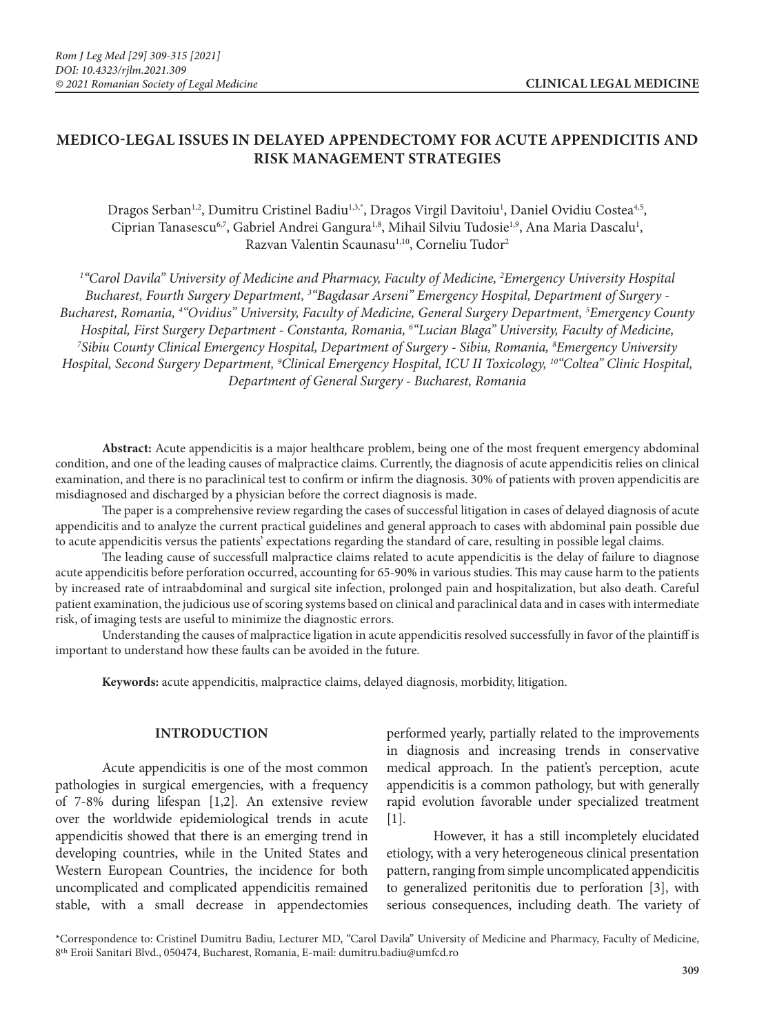# **MEDICO-LEGAL ISSUES IN DELAYED APPENDECTOMY FOR ACUTE APPENDICITIS AND RISK MANAGEMENT STRATEGIES**

Dragos Serban<sup>1,2</sup>, Dumitru Cristinel Badiu<sup>1,3,\*</sup>, Dragos Virgil Davitoiu<sup>1</sup>, Daniel Ovidiu Costea<sup>4,5</sup>, Ciprian Tanasescu<sup>6,7</sup>, Gabriel Andrei Gangura<sup>1,8</sup>, Mihail Silviu Tudosie<sup>1,9</sup>, Ana Maria Dascalu<sup>1</sup>, Razvan Valentin Scaunasu<sup>1,10</sup>, Corneliu Tudor<sup>2</sup>

<sup>1</sup>"Carol Davila" University of Medicine and Pharmacy, Faculty of Medicine, <sup>2</sup>Emergency University Hospital *Bucharest, Fourth Surgery Department, 3 "Bagdasar Arseni" Emergency Hospital, Department of Surgery - Bucharest, Romania, 4 "Ovidius" University, Faculty of Medicine, General Surgery Department, 5 Emergency County Hospital, First Surgery Department - Constanta, Romania, 6 "Lucian Blaga" University, Faculty of Medicine, 7 Sibiu County Clinical Emergency Hospital, Department of Surgery - Sibiu, Romania, 8 Emergency University*  Hospital, Second Surgery Department, <sup>9</sup>Clinical Emergency Hospital, ICU II Toxicology, <sup>10</sup>"Coltea" Clinic Hospital, *Department of General Surgery - Bucharest, Romania*

**Abstract:** Acute appendicitis is a major healthcare problem, being one of the most frequent emergency abdominal condition, and one of the leading causes of malpractice claims. Currently, the diagnosis of acute appendicitis relies on clinical examination, and there is no paraclinical test to confirm or infirm the diagnosis. 30% of patients with proven appendicitis are misdiagnosed and discharged by a physician before the correct diagnosis is made.

The paper is a comprehensive review regarding the cases of successful litigation in cases of delayed diagnosis of acute appendicitis and to analyze the current practical guidelines and general approach to cases with abdominal pain possible due to acute appendicitis versus the patients' expectations regarding the standard of care, resulting in possible legal claims.

The leading cause of successfull malpractice claims related to acute appendicitis is the delay of failure to diagnose acute appendicitis before perforation occurred, accounting for 65-90% in various studies. This may cause harm to the patients by increased rate of intraabdominal and surgical site infection, prolonged pain and hospitalization, but also death. Careful patient examination, the judicious use of scoring systems based on clinical and paraclinical data and in cases with intermediate risk, of imaging tests are useful to minimize the diagnostic errors.

Understanding the causes of malpractice ligation in acute appendicitis resolved successfully in favor of the plaintiff is important to understand how these faults can be avoided in the future.

**Keywords:** acute appendicitis, malpractice claims, delayed diagnosis, morbidity, litigation.

### **INTRODUCTION**

Acute appendicitis is one of the most common pathologies in surgical emergencies, with a frequency of 7-8% during lifespan [1,2]. An extensive review over the worldwide epidemiological trends in acute appendicitis showed that there is an emerging trend in developing countries, while in the United States and Western European Countries, the incidence for both uncomplicated and complicated appendicitis remained stable, with a small decrease in appendectomies

performed yearly, partially related to the improvements in diagnosis and increasing trends in conservative medical approach. In the patient's perception, acute appendicitis is a common pathology, but with generally rapid evolution favorable under specialized treatment [1].

However, it has a still incompletely elucidated etiology, with a very heterogeneous clinical presentation pattern, ranging from simple uncomplicated appendicitis to generalized peritonitis due to perforation [3], with serious consequences, including death. The variety of

\*Correspondence to: Cristinel Dumitru Badiu, Lecturer MD, "Carol Davila" University of Medicine and Pharmacy, Faculty of Medicine, 8th Eroii Sanitari Blvd., 050474, Bucharest, Romania, E-mail: dumitru.badiu@umfcd.ro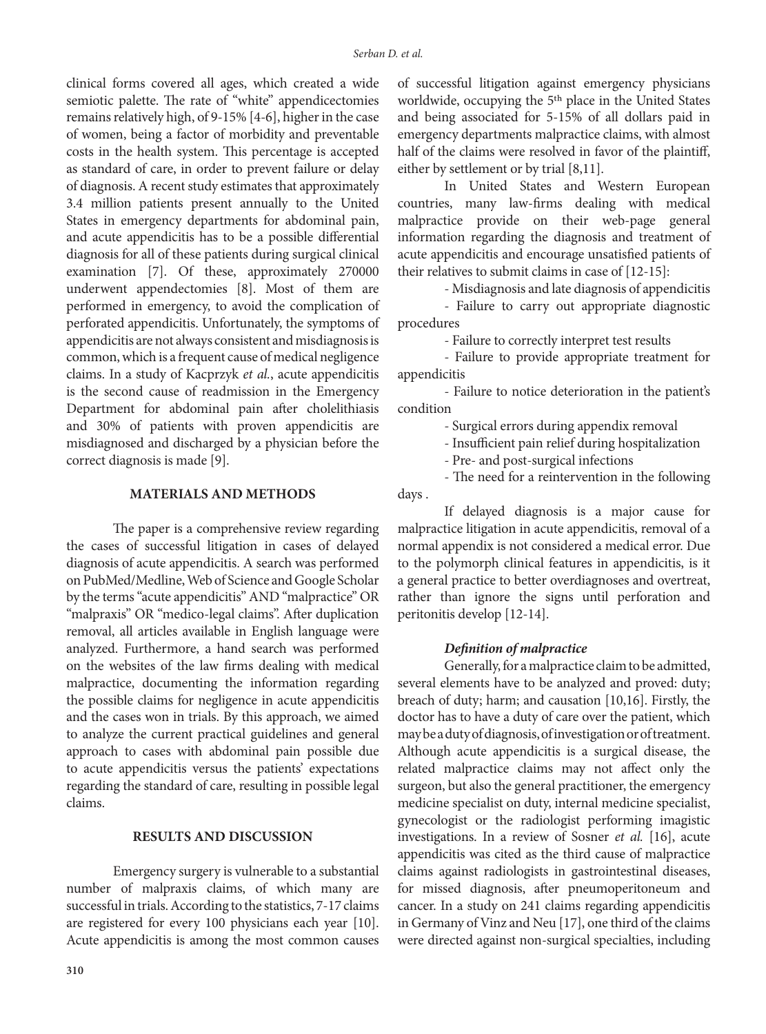clinical forms covered all ages, which created a wide semiotic palette. The rate of "white" appendicectomies remains relatively high, of 9-15% [4-6], higher in the case of women, being a factor of morbidity and preventable costs in the health system. This percentage is accepted as standard of care, in order to prevent failure or delay of diagnosis. A recent study estimates that approximately 3.4 million patients present annually to the United States in emergency departments for abdominal pain, and acute appendicitis has to be a possible differential diagnosis for all of these patients during surgical clinical examination [7]. Of these, approximately 270000 underwent appendectomies [8]. Most of them are performed in emergency, to avoid the complication of perforated appendicitis. Unfortunately, the symptoms of appendicitis are not always consistent and misdiagnosis is common, which is a frequent cause of medical negligence claims. In a study of Kacprzyk *et al.*, acute appendicitis is the second cause of readmission in the Emergency Department for abdominal pain after cholelithiasis and 30% of patients with proven appendicitis are misdiagnosed and discharged by a physician before the correct diagnosis is made [9].

### **MATERIALS AND METHODS**

The paper is a comprehensive review regarding the cases of successful litigation in cases of delayed diagnosis of acute appendicitis. A search was performed on PubMed/Medline, Web of Science and Google Scholar by the terms "acute appendicitis" AND "malpractice" OR "malpraxis" OR "medico-legal claims". After duplication removal, all articles available in English language were analyzed. Furthermore, a hand search was performed on the websites of the law firms dealing with medical malpractice, documenting the information regarding the possible claims for negligence in acute appendicitis and the cases won in trials. By this approach, we aimed to analyze the current practical guidelines and general approach to cases with abdominal pain possible due to acute appendicitis versus the patients' expectations regarding the standard of care, resulting in possible legal claims.

### **RESULTS AND DISCUSSION**

Emergency surgery is vulnerable to a substantial number of malpraxis claims, of which many are successful in trials. According to the statistics, 7-17 claims are registered for every 100 physicians each year [10]. Acute appendicitis is among the most common causes of successful litigation against emergency physicians worldwide, occupying the 5th place in the United States and being associated for 5-15% of all dollars paid in emergency departments malpractice claims, with almost half of the claims were resolved in favor of the plaintiff, either by settlement or by trial [8,11].

In United States and Western European countries, many law-firms dealing with medical malpractice provide on their web-page general information regarding the diagnosis and treatment of acute appendicitis and encourage unsatisfied patients of their relatives to submit claims in case of [12-15]:

- Misdiagnosis and late diagnosis of appendicitis

- Failure to carry out appropriate diagnostic procedures

- Failure to correctly interpret test results

- Failure to provide appropriate treatment for appendicitis

- Failure to notice deterioration in the patient's condition

- Surgical errors during appendix removal

- Insufficient pain relief during hospitalization

- Pre- and post-surgical infections

- The need for a reintervention in the following days .

If delayed diagnosis is a major cause for malpractice litigation in acute appendicitis, removal of a normal appendix is not considered a medical error. Due to the polymorph clinical features in appendicitis, is it a general practice to better overdiagnoses and overtreat, rather than ignore the signs until perforation and peritonitis develop [12-14].

### *Definition of malpractice*

Generally, for a malpractice claim to be admitted, several elements have to be analyzed and proved: duty; breach of duty; harm; and causation [10,16]. Firstly, the doctor has to have a duty of care over the patient, which may be a duty of diagnosis, of investigation or of treatment. Although acute appendicitis is a surgical disease, the related malpractice claims may not affect only the surgeon, but also the general practitioner, the emergency medicine specialist on duty, internal medicine specialist, gynecologist or the radiologist performing imagistic investigations. In a review of Sosner *et al.* [16], acute appendicitis was cited as the third cause of malpractice claims against radiologists in gastrointestinal diseases, for missed diagnosis, after pneumoperitoneum and cancer. In a study on 241 claims regarding appendicitis in Germany of Vinz and Neu [17], one third of the claims were directed against non-surgical specialties, including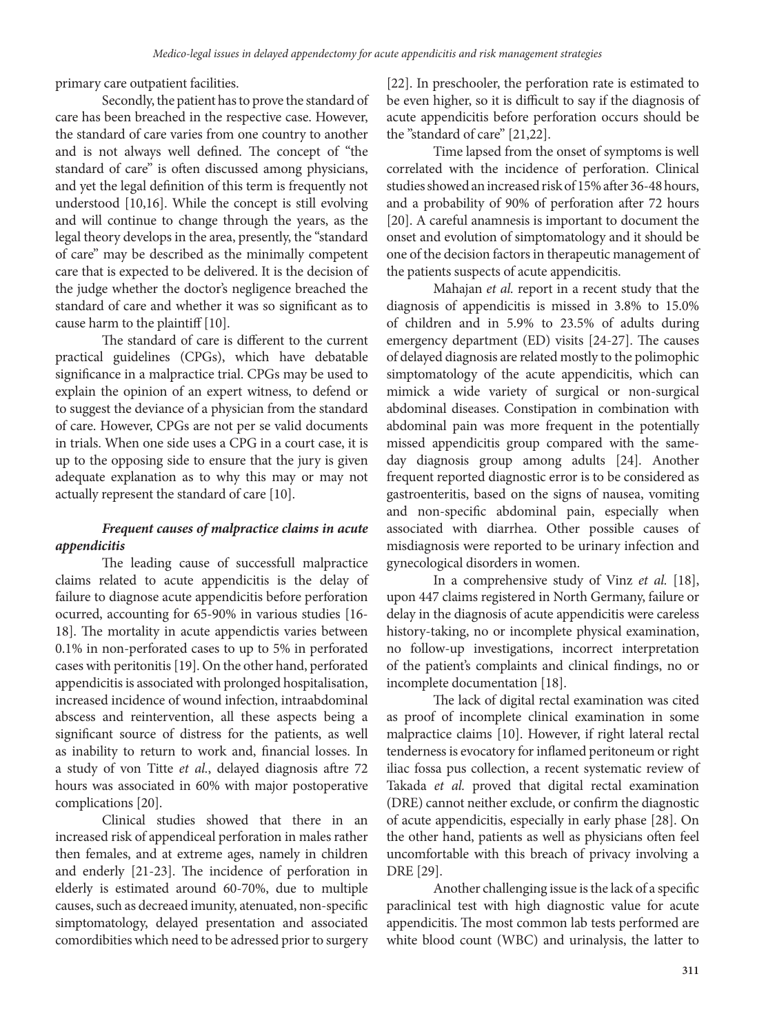primary care outpatient facilities.

Secondly, the patient has to prove the standard of care has been breached in the respective case. However, the standard of care varies from one country to another and is not always well defined. The concept of "the standard of care" is often discussed among physicians, and yet the legal definition of this term is frequently not understood [10,16]. While the concept is still evolving and will continue to change through the years, as the legal theory develops in the area, presently, the "standard of care" may be described as the minimally competent care that is expected to be delivered. It is the decision of the judge whether the doctor's negligence breached the standard of care and whether it was so significant as to cause harm to the plaintiff [10].

The standard of care is different to the current practical guidelines (CPGs), which have debatable significance in a malpractice trial. CPGs may be used to explain the opinion of an expert witness, to defend or to suggest the deviance of a physician from the standard of care. However, CPGs are not per se valid documents in trials. When one side uses a CPG in a court case, it is up to the opposing side to ensure that the jury is given adequate explanation as to why this may or may not actually represent the standard of care [10].

## *Frequent causes of malpractice claims in acute appendicitis*

The leading cause of successfull malpractice claims related to acute appendicitis is the delay of failure to diagnose acute appendicitis before perforation ocurred, accounting for 65-90% in various studies [16- 18]. The mortality in acute appendictis varies between 0.1% in non-perforated cases to up to 5% in perforated cases with peritonitis [19]. On the other hand, perforated appendicitis is associated with prolonged hospitalisation, increased incidence of wound infection, intraabdominal abscess and reintervention, all these aspects being a significant source of distress for the patients, as well as inability to return to work and, financial losses. In a study of von Titte *et al.*, delayed diagnosis aftre 72 hours was associated in 60% with major postoperative complications [20].

Clinical studies showed that there in an increased risk of appendiceal perforation in males rather then females, and at extreme ages, namely in children and enderly [21-23]. The incidence of perforation in elderly is estimated around 60-70%, due to multiple causes, such as decreaed imunity, atenuated, non-specific simptomatology, delayed presentation and associated comordibities which need to be adressed prior to surgery [22]. In preschooler, the perforation rate is estimated to be even higher, so it is difficult to say if the diagnosis of acute appendicitis before perforation occurs should be the "standard of care" [21,22].

Time lapsed from the onset of symptoms is well correlated with the incidence of perforation. Clinical studies showed an increased risk of 15% after 36-48 hours, and a probability of 90% of perforation after 72 hours [20]. A careful anamnesis is important to document the onset and evolution of simptomatology and it should be one of the decision factors in therapeutic management of the patients suspects of acute appendicitis.

Mahajan *et al.* report in a recent study that the diagnosis of appendicitis is missed in 3.8% to 15.0% of children and in 5.9% to 23.5% of adults during emergency department (ED) visits [24-27]. The causes of delayed diagnosis are related mostly to the polimophic simptomatology of the acute appendicitis, which can mimick a wide variety of surgical or non-surgical abdominal diseases. Constipation in combination with abdominal pain was more frequent in the potentially missed appendicitis group compared with the sameday diagnosis group among adults [24]. Another frequent reported diagnostic error is to be considered as gastroenteritis, based on the signs of nausea, vomiting and non-specific abdominal pain, especially when associated with diarrhea. Other possible causes of misdiagnosis were reported to be urinary infection and gynecological disorders in women.

In a comprehensive study of Vinz *et al.* [18], upon 447 claims registered in North Germany, failure or delay in the diagnosis of acute appendicitis were careless history-taking, no or incomplete physical examination, no follow-up investigations, incorrect interpretation of the patient's complaints and clinical findings, no or incomplete documentation [18].

The lack of digital rectal examination was cited as proof of incomplete clinical examination in some malpractice claims [10]. However, if right lateral rectal tenderness is evocatory for inflamed peritoneum or right iliac fossa pus collection, a recent systematic review of Takada *et al.* proved that digital rectal examination (DRE) cannot neither exclude, or confirm the diagnostic of acute appendicitis, especially in early phase [28]. On the other hand, patients as well as physicians often feel uncomfortable with this breach of privacy involving a DRE [29].

Another challenging issue is the lack of a specific paraclinical test with high diagnostic value for acute appendicitis. The most common lab tests performed are white blood count (WBC) and urinalysis, the latter to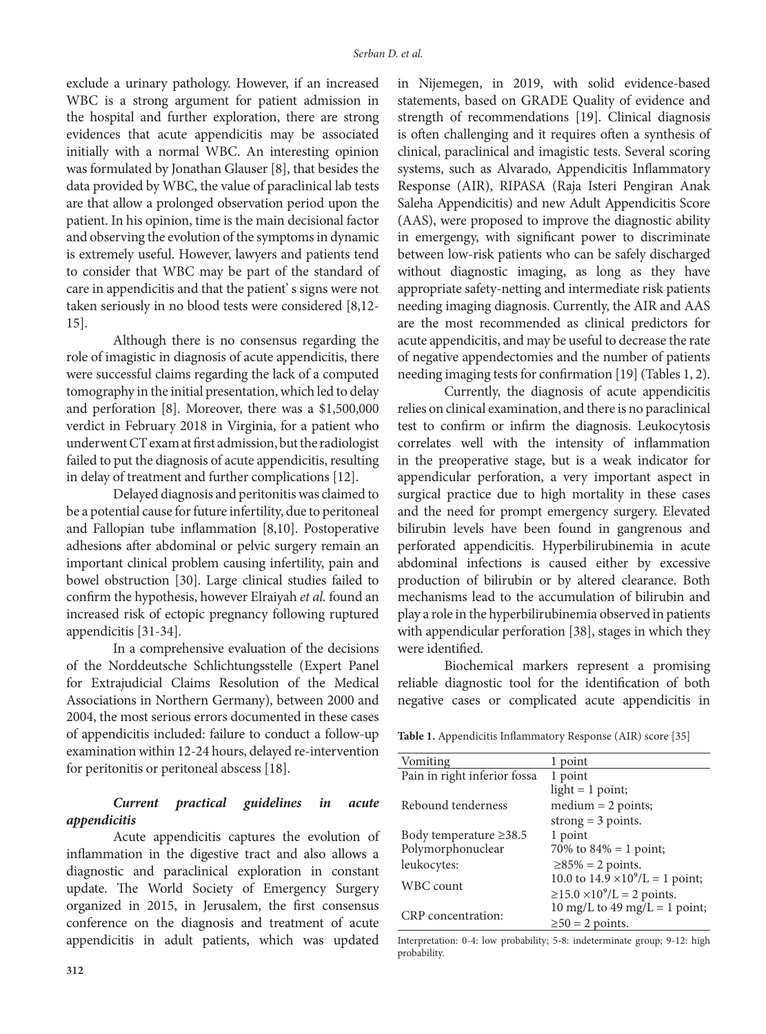exclude a urinary pathology. However, if an increased WBC is a strong argument for patient admission in the hospital and further exploration, there are strong evidences that acute appendicitis may be associated initially with a normal WBC. An interesting opinion was formulated by Jonathan Glauser [8], that besides the data provided by WBC, the value of paraclinical lab tests are that allow a prolonged observation period upon the patient. In his opinion, time is the main decisional factor and observing the evolution of the symptoms in dynamic is extremely useful. However, lawyers and patients tend to consider that WBC may be part of the standard of care in appendicitis and that the patient' s signs were not taken seriously in no blood tests were considered [8,12- 15].

Although there is no consensus regarding the role of imagistic in diagnosis of acute appendicitis, there were successful claims regarding the lack of a computed tomography in the initial presentation, which led to delay and perforation [8]. Moreover, there was a \$1,500,000 verdict in February 2018 in Virginia, for a patient who underwent CT exam at first admission, but the radiologist failed to put the diagnosis of acute appendicitis, resulting in delay of treatment and further complications [12].

Delayed diagnosis and peritonitis was claimed to be a potential cause for future infertility, due to peritoneal and Fallopian tube inflammation [8,10]. Postoperative adhesions after abdominal or pelvic surgery remain an important clinical problem causing infertility, pain and bowel obstruction [30]. Large clinical studies failed to confirm the hypothesis, however Elraiyah *et al.* found an increased risk of ectopic pregnancy following ruptured appendicitis [31-34].

In a comprehensive evaluation of the decisions of the Norddeutsche Schlichtungsstelle (Expert Panel for Extrajudicial Claims Resolution of the Medical Associations in Northern Germany), between 2000 and 2004, the most serious errors documented in these cases of appendicitis included: failure to conduct a follow-up examination within 12-24 hours, delayed re-intervention for peritonitis or peritoneal abscess [18].

## *Current practical guidelines in acute appendicitis*

Acute appendicitis captures the evolution of inflammation in the digestive tract and also allows a diagnostic and paraclinical exploration in constant update. The World Society of Emergency Surgery organized in 2015, in Jerusalem, the first consensus conference on the diagnosis and treatment of acute appendicitis in adult patients, which was updated in Nijemegen, in 2019, with solid evidence-based statements, based on GRADE Quality of evidence and strength of recommendations [19]. Clinical diagnosis is often challenging and it requires often a synthesis of clinical, paraclinical and imagistic tests. Several scoring systems, such as Alvarado, Appendicitis Inflammatory Response (AIR), RIPASA (Raja Isteri Pengiran Anak Saleha Appendicitis) and new Adult Appendicitis Score (AAS), were proposed to improve the diagnostic ability in emergengy, with significant power to discriminate between low-risk patients who can be safely discharged without diagnostic imaging, as long as they have appropriate safety-netting and intermediate risk patients needing imaging diagnosis. Currently, the AIR and AAS are the most recommended as clinical predictors for acute appendicitis, and may be useful to decrease the rate of negative appendectomies and the number of patients needing imaging tests for confirmation [19] (Tables 1, 2).

Currently, the diagnosis of acute appendicitis relies on clinical examination, and there is no paraclinical test to confirm or infirm the diagnosis. Leukocytosis correlates well with the intensity of inflammation in the preoperative stage, but is a weak indicator for appendicular perforation, a very important aspect in surgical practice due to high mortality in these cases and the need for prompt emergency surgery. Elevated bilirubin levels have been found in gangrenous and perforated appendicitis. Hyperbilirubinemia in acute abdominal infections is caused either by excessive production of bilirubin or by altered clearance. Both mechanisms lead to the accumulation of bilirubin and play a role in the hyperbilirubinemia observed in patients with appendicular perforation [38], stages in which they were identified.

Biochemical markers represent a promising reliable diagnostic tool for the identification of both negative cases or complicated acute appendicitis in

**Table 1.** Appendicitis Inflammatory Response (AIR) score [35]

| Vomiting                     | 1 point                                  |
|------------------------------|------------------------------------------|
| Pain in right inferior fossa | 1 point                                  |
|                              | light $= 1$ point;                       |
| Rebound tenderness           | $median = 2 points;$                     |
|                              | strong $=$ 3 points.                     |
| Body temperature $\geq$ 38.5 | 1 point                                  |
| Polymorphonuclear            | 70\% to $84\% = 1$ point;                |
| leukocytes:                  | $\geq$ 85% = 2 points.                   |
| WBC count                    | 10.0 to $14.9 \times 10^9$ /L = 1 point; |
|                              | $≥15.0 × 109/L = 2 points.$              |
| CRP concentration:           | 10 mg/L to 49 mg/L = 1 point;            |
|                              | $\geq 50$ = 2 points.                    |

Interpretation: 0-4: low probability; 5-8: indeterminate group; 9-12: high probability.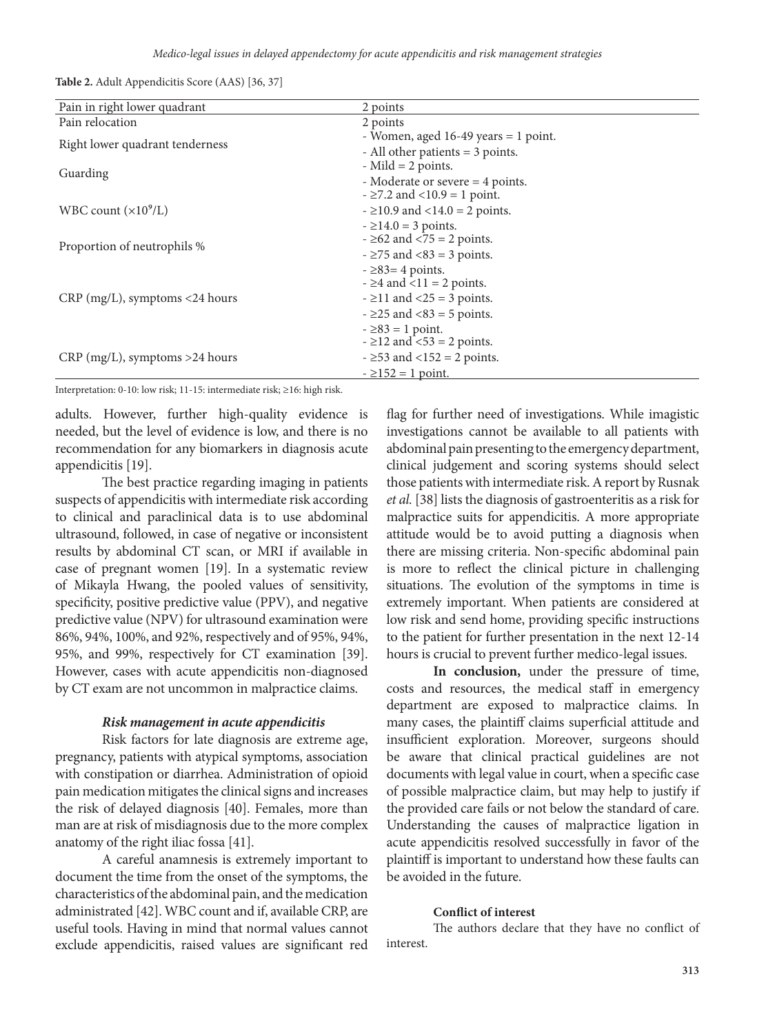**Table 2.** Adult Appendicitis Score (AAS) [36, 37]

| Pain in right lower quadrant     | 2 points                                |
|----------------------------------|-----------------------------------------|
| Pain relocation                  | 2 points                                |
| Right lower quadrant tenderness  | - Women, aged 16-49 years = 1 point.    |
|                                  | - All other patients = 3 points.        |
| Guarding                         | $-Mild = 2 points.$                     |
|                                  | - Moderate or severe = 4 points.        |
|                                  | $ \geq$ 7.2 and $<$ 10.9 = 1 point.     |
| WBC count $(\times 10^9$ /L)     | $ \geq$ 10.9 and $\lt$ 14.0 = 2 points. |
| Proportion of neutrophils %      | $-214.0 = 3$ points.                    |
|                                  | $ \geq$ 62 and $\leq$ 75 = 2 points.    |
|                                  | $ \geq$ 75 and $\lt$ 83 = 3 points.     |
| $CRP$ (mg/L), symptoms <24 hours | $ \geq$ 83= 4 points.                   |
|                                  | $- \geq 4$ and $\leq 11 = 2$ points.    |
|                                  | $ \geq$ 11 and $\lt$ 25 = 3 points.     |
|                                  | $ \geq$ 25 and $\lt$ 83 = 5 points.     |
|                                  | $-283 = 1$ point.                       |
| $CRP$ (mg/L), symptoms >24 hours | $ \geq$ 12 and $\leq$ 53 = 2 points.    |
|                                  | $ \geq$ 53 and $\lt$ 152 = 2 points.    |
|                                  | $-2152 = 1$ point.                      |

Interpretation: 0-10: low risk; 11-15: intermediate risk; ≥16: high risk.

adults. However, further high-quality evidence is needed, but the level of evidence is low, and there is no recommendation for any biomarkers in diagnosis acute appendicitis [19].

The best practice regarding imaging in patients suspects of appendicitis with intermediate risk according to clinical and paraclinical data is to use abdominal ultrasound, followed, in case of negative or inconsistent results by abdominal CT scan, or MRI if available in case of pregnant women [19]. In a systematic review of Mikayla Hwang, the pooled values of sensitivity, specificity, positive predictive value (PPV), and negative predictive value (NPV) for ultrasound examination were 86%, 94%, 100%, and 92%, respectively and of 95%, 94%, 95%, and 99%, respectively for CT examination [39]. However, cases with acute appendicitis non-diagnosed by CT exam are not uncommon in malpractice claims.

### *Risk management in acute appendicitis*

Risk factors for late diagnosis are extreme age, pregnancy, patients with atypical symptoms, association with constipation or diarrhea. Administration of opioid pain medication mitigates the clinical signs and increases the risk of delayed diagnosis [40]. Females, more than man are at risk of misdiagnosis due to the more complex anatomy of the right iliac fossa [41].

A careful anamnesis is extremely important to document the time from the onset of the symptoms, the characteristics of the abdominal pain, and the medication administrated [42]. WBC count and if, available CRP, are useful tools. Having in mind that normal values cannot exclude appendicitis, raised values are significant red flag for further need of investigations. While imagistic investigations cannot be available to all patients with abdominal pain presenting to the emergency department, clinical judgement and scoring systems should select those patients with intermediate risk. A report by Rusnak *et al.* [38] lists the diagnosis of gastroenteritis as a risk for malpractice suits for appendicitis. A more appropriate attitude would be to avoid putting a diagnosis when there are missing criteria. Non-specific abdominal pain is more to reflect the clinical picture in challenging situations. The evolution of the symptoms in time is extremely important. When patients are considered at low risk and send home, providing specific instructions to the patient for further presentation in the next 12-14 hours is crucial to prevent further medico-legal issues.

**In conclusion,** under the pressure of time, costs and resources, the medical staff in emergency department are exposed to malpractice claims. In many cases, the plaintiff claims superficial attitude and insufficient exploration. Moreover, surgeons should be aware that clinical practical guidelines are not documents with legal value in court, when a specific case of possible malpractice claim, but may help to justify if the provided care fails or not below the standard of care. Understanding the causes of malpractice ligation in acute appendicitis resolved successfully in favor of the plaintiff is important to understand how these faults can be avoided in the future.

### **Conflict of interest**

The authors declare that they have no conflict of interest.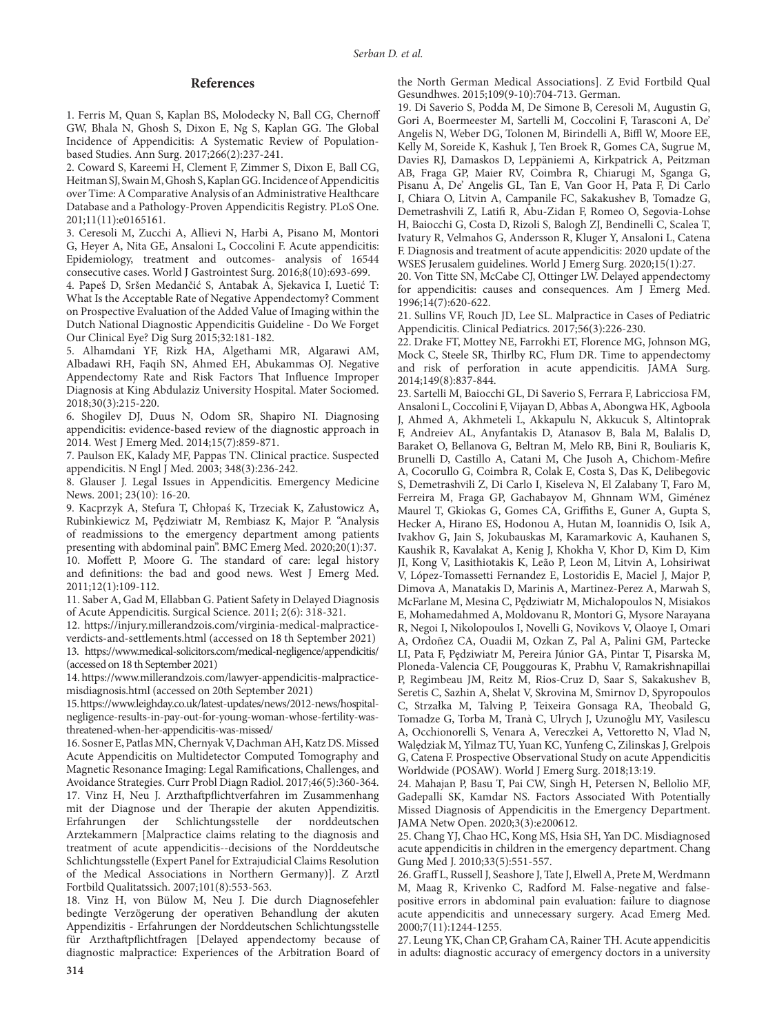#### **References**

1. Ferris M, Quan S, Kaplan BS, Molodecky N, Ball CG, Chernoff GW, Bhala N, Ghosh S, Dixon E, Ng S, Kaplan GG. The Global Incidence of Appendicitis: A Systematic Review of Populationbased Studies. Ann Surg. 2017;266(2):237-241.

2. Coward S, Kareemi H, Clement F, Zimmer S, Dixon E, Ball CG, Heitman SJ, Swain M, Ghosh S, Kaplan GG. Incidence of Appendicitis over Time: A Comparative Analysis of an Administrative Healthcare Database and a Pathology-Proven Appendicitis Registry. PLoS One. 201;11(11):e0165161.

3. Ceresoli M, Zucchi A, Allievi N, Harbi A, Pisano M, Montori G, Heyer A, Nita GE, Ansaloni L, Coccolini F. Acute appendicitis: Epidemiology, treatment and outcomes- analysis of 16544 consecutive cases. World J Gastrointest Surg. 2016;8(10):693-699.

4. Papeš D, Sršen Medančić S, Antabak A, Sjekavica I, Luetić T: What Is the Acceptable Rate of Negative Appendectomy? Comment on Prospective Evaluation of the Added Value of Imaging within the Dutch National Diagnostic Appendicitis Guideline - Do We Forget Our Clinical Eye? Dig Surg 2015;32:181-182.

5. Alhamdani YF, Rizk HA, Algethami MR, Algarawi AM, Albadawi RH, Faqih SN, Ahmed EH, Abukammas OJ. Negative Appendectomy Rate and Risk Factors That Influence Improper Diagnosis at King Abdulaziz University Hospital. Mater Sociomed. 2018;30(3):215-220.

6. Shogilev DJ, Duus N, Odom SR, Shapiro NI. Diagnosing appendicitis: evidence-based review of the diagnostic approach in 2014. West J Emerg Med. 2014;15(7):859-871.

7. Paulson EK, Kalady MF, Pappas TN. Clinical practice. Suspected appendicitis. N Engl J Med. 2003; 348(3):236-242.

8. Glauser J. Legal Issues in Appendicitis. Emergency Medicine News. 2001; 23(10): 16-20.

9. Kacprzyk A, Stefura T, Chłopaś K, Trzeciak K, Załustowicz A, Rubinkiewicz M, Pędziwiatr M, Rembiasz K, Major P. "Analysis of readmissions to the emergency department among patients presenting with abdominal pain". BMC Emerg Med. 2020;20(1):37. 10. Moffett P, Moore G. The standard of care: legal history and definitions: the bad and good news. West J Emerg Med. 2011;12(1):109-112.

11. Saber A, Gad M, Ellabban G. Patient Safety in Delayed Diagnosis of Acute Appendicitis. Surgical Science. 2011; 2(6): 318-321.

12. https://injury.millerandzois.com/virginia-medical-malpracticeverdicts-and-settlements.html (accessed on 18 th September 2021) 13. https://www.medical-solicitors.com/medical-negligence/appendicitis/ (accessed on 18 th September 2021)

14. https://www.millerandzois.com/lawyer-appendicitis-malpracticemisdiagnosis.html (accessed on 20th September 2021)

15. https://www.leighday.co.uk/latest-updates/news/2012-news/hospitalnegligence-results-in-pay-out-for-young-woman-whose-fertility-wasthreatened-when-her-appendicitis-was-missed/

16. Sosner E, Patlas MN, Chernyak V, Dachman AH, Katz DS. Missed Acute Appendicitis on Multidetector Computed Tomography and Magnetic Resonance Imaging: Legal Ramifications, Challenges, and Avoidance Strategies. Curr Probl Diagn Radiol. 2017;46(5):360-364. 17. Vinz H, Neu J. Arzthaftpflichtverfahren im Zusammenhang mit der Diagnose und der Therapie der akuten Appendizitis. Erfahrungen der Schlichtungsstelle der norddeutschen Arztekammern [Malpractice claims relating to the diagnosis and treatment of acute appendicitis--decisions of the Norddeutsche Schlichtungsstelle (Expert Panel for Extrajudicial Claims Resolution of the Medical Associations in Northern Germany)]. Z Arztl Fortbild Qualitatssich. 2007;101(8):553-563.

18. Vinz H, von Bülow M, Neu J. Die durch Diagnosefehler bedingte Verzögerung der operativen Behandlung der akuten Appendizitis - Erfahrungen der Norddeutschen Schlichtungsstelle für Arzthaftpflichtfragen [Delayed appendectomy because of diagnostic malpractice: Experiences of the Arbitration Board of the North German Medical Associations]. Z Evid Fortbild Qual Gesundhwes. 2015;109(9-10):704-713. German.

19. Di Saverio S, Podda M, De Simone B, Ceresoli M, Augustin G, Gori A, Boermeester M, Sartelli M, Coccolini F, Tarasconi A, De' Angelis N, Weber DG, Tolonen M, Birindelli A, Biffl W, Moore EE, Kelly M, Soreide K, Kashuk J, Ten Broek R, Gomes CA, Sugrue M, Davies RJ, Damaskos D, Leppäniemi A, Kirkpatrick A, Peitzman AB, Fraga GP, Maier RV, Coimbra R, Chiarugi M, Sganga G, Pisanu A, De' Angelis GL, Tan E, Van Goor H, Pata F, Di Carlo I, Chiara O, Litvin A, Campanile FC, Sakakushev B, Tomadze G, Demetrashvili Z, Latifi R, Abu-Zidan F, Romeo O, Segovia-Lohse H, Baiocchi G, Costa D, Rizoli S, Balogh ZJ, Bendinelli C, Scalea T, Ivatury R, Velmahos G, Andersson R, Kluger Y, Ansaloni L, Catena F. Diagnosis and treatment of acute appendicitis: 2020 update of the WSES Jerusalem guidelines. World J Emerg Surg. 2020;15(1):27.

20. Von Titte SN, McCabe CJ, Ottinger LW. Delayed appendectomy for appendicitis: causes and consequences. Am J Emerg Med. 1996;14(7):620-622.

21. Sullins VF, Rouch JD, Lee SL. Malpractice in Cases of Pediatric Appendicitis. Clinical Pediatrics. 2017;56(3):226-230.

22. Drake FT, Mottey NE, Farrokhi ET, Florence MG, Johnson MG, Mock C, Steele SR, Thirlby RC, Flum DR. Time to appendectomy and risk of perforation in acute appendicitis. JAMA Surg. 2014;149(8):837-844.

23. Sartelli M, Baiocchi GL, Di Saverio S, Ferrara F, Labricciosa FM, Ansaloni L, Coccolini F, Vijayan D, Abbas A, Abongwa HK, Agboola J, Ahmed A, Akhmeteli L, Akkapulu N, Akkucuk S, Altintoprak F, Andreiev AL, Anyfantakis D, Atanasov B, Bala M, Balalis D, Baraket O, Bellanova G, Beltran M, Melo RB, Bini R, Bouliaris K, Brunelli D, Castillo A, Catani M, Che Jusoh A, Chichom-Mefire A, Cocorullo G, Coimbra R, Colak E, Costa S, Das K, Delibegovic S, Demetrashvili Z, Di Carlo I, Kiseleva N, El Zalabany T, Faro M, Ferreira M, Fraga GP, Gachabayov M, Ghnnam WM, Giménez Maurel T, Gkiokas G, Gomes CA, Griffiths E, Guner A, Gupta S, Hecker A, Hirano ES, Hodonou A, Hutan M, Ioannidis O, Isik A, Ivakhov G, Jain S, Jokubauskas M, Karamarkovic A, Kauhanen S, Kaushik R, Kavalakat A, Kenig J, Khokha V, Khor D, Kim D, Kim JI, Kong V, Lasithiotakis K, Leão P, Leon M, Litvin A, Lohsiriwat V, López-Tomassetti Fernandez E, Lostoridis E, Maciel J, Major P, Dimova A, Manatakis D, Marinis A, Martinez-Perez A, Marwah S, McFarlane M, Mesina C, Pędziwiatr M, Michalopoulos N, Misiakos E, Mohamedahmed A, Moldovanu R, Montori G, Mysore Narayana R, Negoi I, Nikolopoulos I, Novelli G, Novikovs V, Olaoye I, Omari A, Ordoñez CA, Ouadii M, Ozkan Z, Pal A, Palini GM, Partecke LI, Pata F, Pędziwiatr M, Pereira Júnior GA, Pintar T, Pisarska M, Ploneda-Valencia CF, Pouggouras K, Prabhu V, Ramakrishnapillai P, Regimbeau JM, Reitz M, Rios-Cruz D, Saar S, Sakakushev B, Seretis C, Sazhin A, Shelat V, Skrovina M, Smirnov D, Spyropoulos C, Strzałka M, Talving P, Teixeira Gonsaga RA, Theobald G, Tomadze G, Torba M, Tranà C, Ulrych J, Uzunoğlu MY, Vasilescu A, Occhionorelli S, Venara A, Vereczkei A, Vettoretto N, Vlad N, Walędziak M, Yilmaz TU, Yuan KC, Yunfeng C, Zilinskas J, Grelpois G, Catena F. Prospective Observational Study on acute Appendicitis Worldwide (POSAW). World J Emerg Surg. 2018;13:19.

24. Mahajan P, Basu T, Pai CW, Singh H, Petersen N, Bellolio MF, Gadepalli SK, Kamdar NS. Factors Associated With Potentially Missed Diagnosis of Appendicitis in the Emergency Department. JAMA Netw Open. 2020;3(3):e200612.

25. Chang YJ, Chao HC, Kong MS, Hsia SH, Yan DC. Misdiagnosed acute appendicitis in children in the emergency department. Chang Gung Med J. 2010;33(5):551-557.

26. Graff L, Russell J, Seashore J, Tate J, Elwell A, Prete M, Werdmann M, Maag R, Krivenko C, Radford M. False-negative and falsepositive errors in abdominal pain evaluation: failure to diagnose acute appendicitis and unnecessary surgery. Acad Emerg Med. 2000;7(11):1244-1255.

27. Leung YK, Chan CP, Graham CA, Rainer TH. Acute appendicitis in adults: diagnostic accuracy of emergency doctors in a university